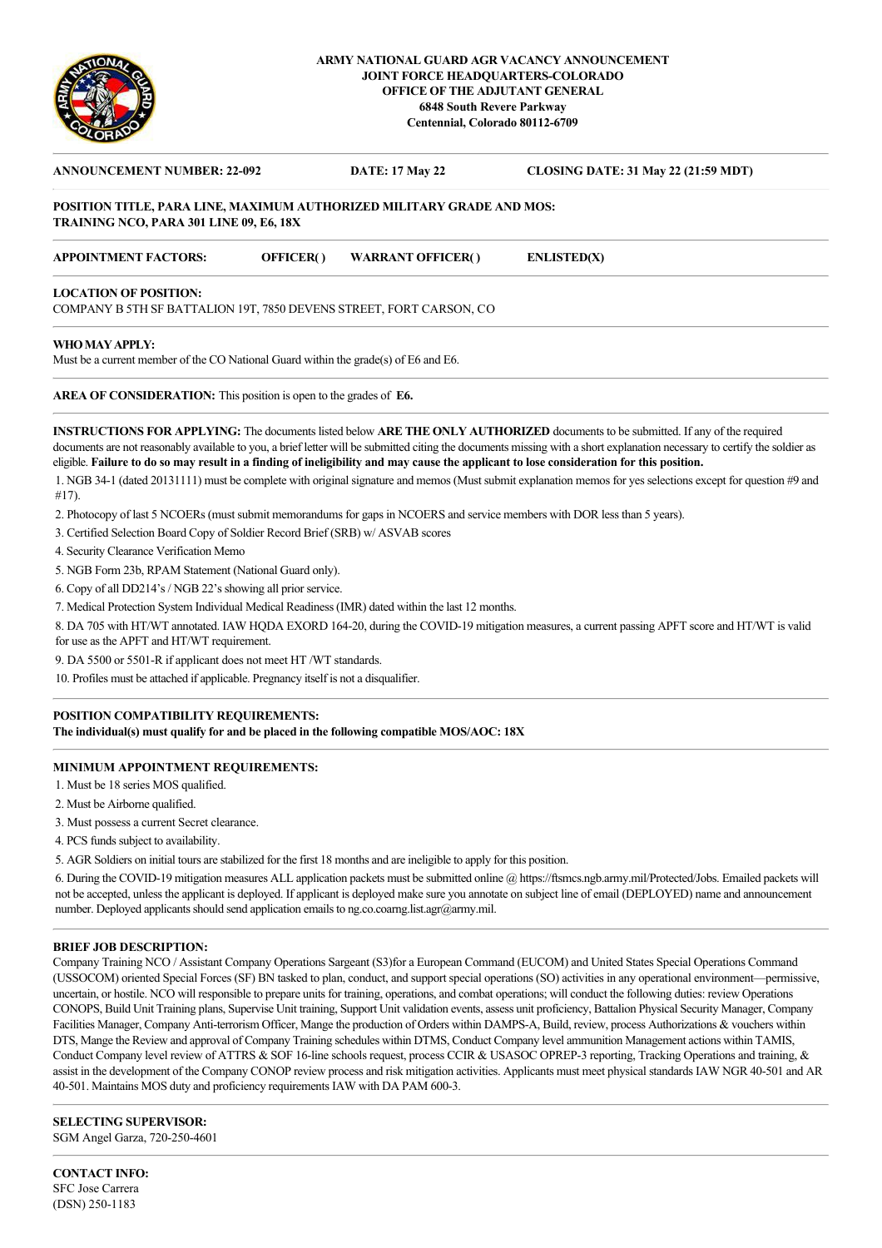

### **ARMY NATIONAL GUARD AGR VACANCY ANNOUNCEMENT JOINT FORCE HEADQUARTERS-COLORADO OFFICE OF THE ADJUTANT GENERAL 6848 South Revere Parkway Centennial, Colorado 80112-6709**

# **ANNOUNCEMENT NUMBER: 22-092 DATE: 17 May 22 CLOSING DATE: 31 May 22 (21:59 MDT) POSITION TITLE, PARA LINE, MAXIMUM AUTHORIZED MILITARY GRADE AND MOS: TRAINING NCO, PARA 301 LINE 09, E6, 18X APPOINTMENT FACTORS: OFFICER( ) WARRANT OFFICER( ) ENLISTED(X) LOCATION OF POSITION:**  COMPANY B 5TH SF BATTALION 19T, 7850 DEVENS STREET, FORT CARSON, CO

**WHO MAY APPLY:** 

Must be a current member of the CO National Guard within the grade(s) of E6 and E6.

**AREA OF CONSIDERATION:** This position is open to the grades of **E6.**

**INSTRUCTIONS FOR APPLYING:** The documents listed below **ARE THE ONLY AUTHORIZED** documents to be submitted. If any of the required documents are not reasonably available to you, a brief letter will be submitted citing the documents missing with a short explanation necessary to certify the soldier as eligible. **Failure to do so may result in a finding of ineligibility and may cause the applicant to lose consideration for this position.**

1. NGB 34-1 (dated 20131111) must be complete with original signature and memos (Must submit explanation memos for yes selections except for question #9 and #17).

2. Photocopy of last 5 NCOERs (must submit memorandums for gaps in NCOERS and service members with DOR less than 5 years).

3. Certified Selection Board Copy of Soldier Record Brief (SRB) w/ ASVAB scores

4. Security Clearance Verification Memo

5. NGB Form 23b, RPAM Statement (National Guard only).

6. Copy of all DD214's / NGB 22's showing all prior service.

7. Medical Protection System Individual Medical Readiness (IMR) dated within the last 12 months.

8. DA 705 with HT/WT annotated. IAW HQDA EXORD 164-20, during the COVID-19 mitigation measures, a current passing APFT score and HT/WT is valid for use as the APFT and HT/WT requirement.

9. DA 5500 or 5501-R if applicant does not meet HT /WT standards.

10. Profiles must be attached if applicable. Pregnancy itself is not a disqualifier.

#### **POSITION COMPATIBILITY REQUIREMENTS:**

**The individual(s) must qualify for and be placed in the following compatible MOS/AOC: 18X**

## **MINIMUM APPOINTMENT REQUIREMENTS:**

1. Must be 18 series MOS qualified.

2. Must be Airborne qualified.

3. Must possess a current Secret clearance.

4. PCS funds subject to availability.

5. AGR Soldiers on initial tours are stabilized for the first 18 months and are ineligible to apply for this position.

6. During the COVID-19 mitigation measures ALL application packets must be submitted online @ https://ftsmcs.ngb.army.mil/Protected/Jobs. Emailed packets will not be accepted, unless the applicant is deployed. If applicant is deployed make sure you annotate on subject line of email (DEPLOYED) name and announcement number. Deployed applicants should send application emails to ng.co.coarng.list.agr@army.mil.

## **BRIEF JOB DESCRIPTION:**

Company Training NCO / Assistant Company Operations Sargeant (S3)for a European Command (EUCOM) and United States Special Operations Command (USSOCOM) oriented Special Forces (SF) BN tasked to plan, conduct, and support special operations (SO) activities in any operational environment—permissive, uncertain, or hostile. NCO will responsible to prepare units for training, operations, and combat operations; will conduct the following duties: review Operations CONOPS, Build Unit Training plans, Supervise Unit training, Support Unit validation events, assess unit proficiency, Battalion Physical Security Manager, Company Facilities Manager, Company Anti-terrorism Officer, Mange the production of Orders within DAMPS-A, Build, review, process Authorizations & vouchers within DTS, Mange the Review and approval of Company Training schedules within DTMS, Conduct Company level ammunition Management actions within TAMIS, Conduct Company level review of ATTRS & SOF 16-line schools request, process CCIR & USASOC OPREP-3 reporting, Tracking Operations and training, & assist in the development of the Company CONOP review process and risk mitigation activities. Applicants must meet physical standards IAW NGR 40-501 and AR 40-501. Maintains MOS duty and proficiency requirements IAW with DA PAM 600-3.

#### **SELECTING SUPERVISOR:**

SGM Angel Garza, 720-250-4601

**CONTACT INFO:** SFC Jose Carrera (DSN) 250-1183